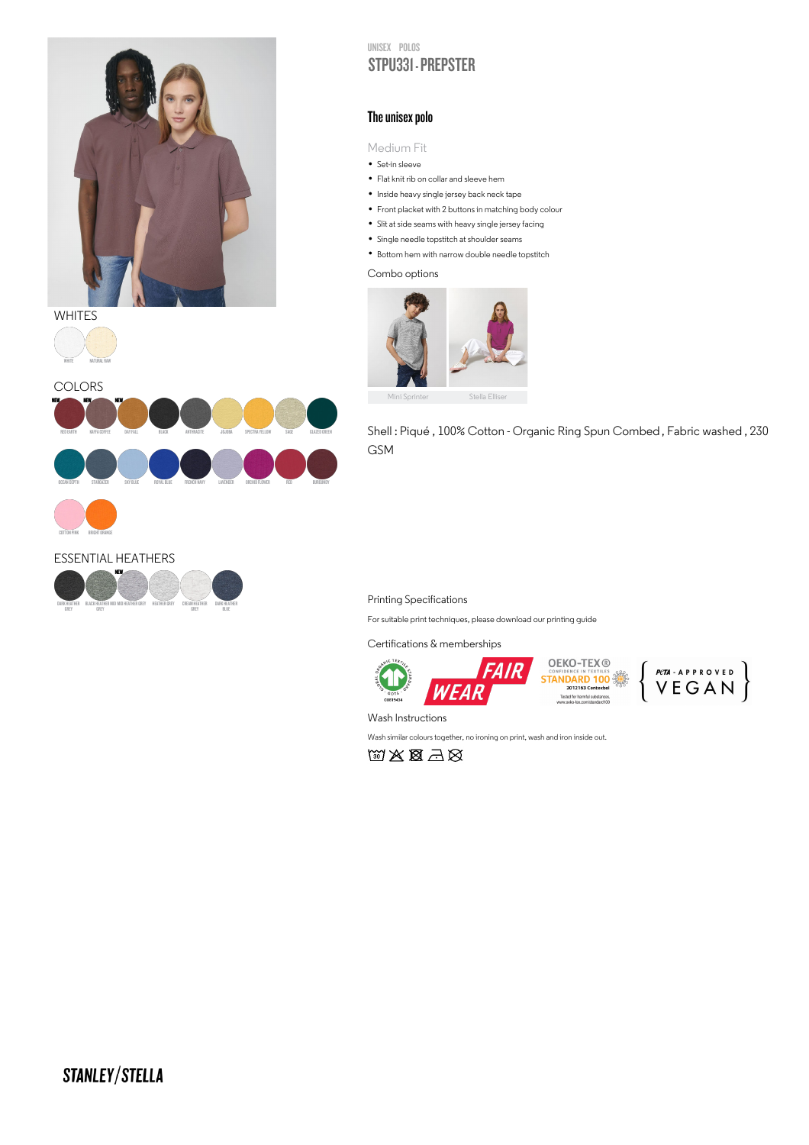

## **WHITES**

DARK HEATHER GREY

BLACK HEATHER MID GREY

ESSENTIAL HEATHERS

NEW





GREY

DARK HEATHER BLUE

MID HEATHER GREY HEATHER GREY CREAM HEATHER

UNISEX POLOS STPU331 - PREPSTER

## The unisex polo

Medium Fit

- IVIed1um F<br>• Set-in sleeve
- Set-in sleeve<br>• Flat knit rib on collar and sleeve hem Tlat knit rib on collar and sleeve hem<br>• Inside heavy single jersey back neck tape
- 
- Inside heavy single jersey back neck tape<br>• Front placket with 2 buttons in matching body colour Tront placket with 2 buttons in matching body c<br>- Slit at side seams with heavy single jersey facing
- Slit at side seams with heavy single jersey<br>• Single needle topstitch at shoulder seams
- 
- Single needle topstitch at shoulder seams<br>• Bottom hem with narrow double needle topstitch

Combo options



Shell : Piqué , 100% Cotton - Organic Ring Spun Combed , Fabric washed , 230 GSM

## Printing Specifications

For suitable print techniques, please download our printing guide

Certifications & memberships





Wash Instructions

Wash similar colours together, no ironing on print, wash and iron inside out.

的文图三义